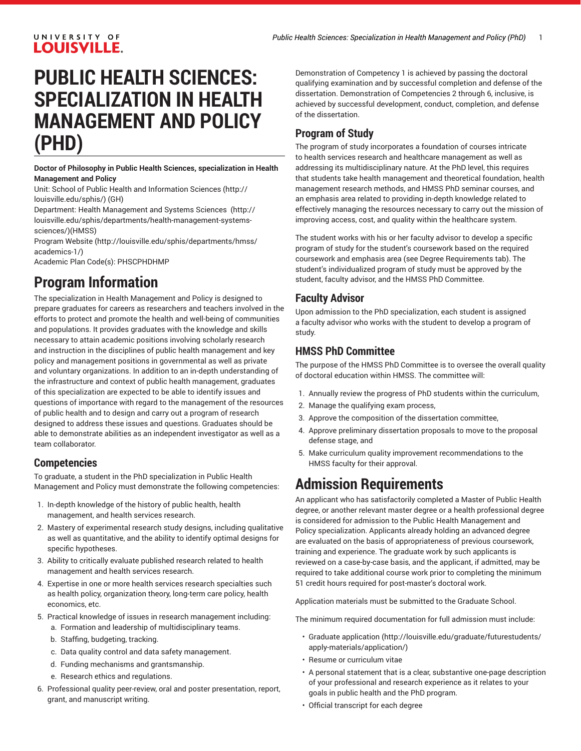# **PUBLIC HEALTH SCIENCES: SPECIALIZATION IN HEALTH MANAGEMENT AND POLICY (PHD)**

**Doctor of Philosophy in Public Health Sciences, specialization in Health Management and Policy**

Unit: [School of Public Health and Information Sciences](http://louisville.edu/sphis/) ([http://](http://louisville.edu/sphis/) [louisville.edu/sphis/](http://louisville.edu/sphis/)) (GH)

Department: [Health Management and Systems Sciences](http://louisville.edu/sphis/departments/health-management-systems-sciences/)  ([http://](http://louisville.edu/sphis/departments/health-management-systems-sciences/) [louisville.edu/sphis/departments/health-management-systems](http://louisville.edu/sphis/departments/health-management-systems-sciences/)[sciences/](http://louisville.edu/sphis/departments/health-management-systems-sciences/))(HMSS)

[Program](http://louisville.edu/sphis/departments/hmss/academics-1/) Website [\(http://louisville.edu/sphis/departments/hmss/](http://louisville.edu/sphis/departments/hmss/academics-1/) [academics-1/](http://louisville.edu/sphis/departments/hmss/academics-1/))

Academic Plan Code(s): PHSCPHDHMP

# **Program Information**

The specialization in Health Management and Policy is designed to prepare graduates for careers as researchers and teachers involved in the efforts to protect and promote the health and well-being of communities and populations. It provides graduates with the knowledge and skills necessary to attain academic positions involving scholarly research and instruction in the disciplines of public health management and key policy and management positions in governmental as well as private and voluntary organizations. In addition to an in-depth understanding of the infrastructure and context of public health management, graduates of this specialization are expected to be able to identify issues and questions of importance with regard to the management of the resources of public health and to design and carry out a program of research designed to address these issues and questions. Graduates should be able to demonstrate abilities as an independent investigator as well as a team collaborator.

### **Competencies**

To graduate, a student in the PhD specialization in Public Health Management and Policy must demonstrate the following competencies:

- 1. In-depth knowledge of the history of public health, health management, and health services research.
- 2. Mastery of experimental research study designs, including qualitative as well as quantitative, and the ability to identify optimal designs for specific hypotheses.
- 3. Ability to critically evaluate published research related to health management and health services research.
- 4. Expertise in one or more health services research specialties such as health policy, organization theory, long-term care policy, health economics, etc.
- 5. Practical knowledge of issues in research management including:
	- a. Formation and leadership of multidisciplinary teams.
	- b. Staffing, budgeting, tracking.
	- c. Data quality control and data safety management.
	- d. Funding mechanisms and grantsmanship.
	- e. Research ethics and regulations.
- 6. Professional quality peer-review, oral and poster presentation, report, grant, and manuscript writing.

Demonstration of Competency 1 is achieved by passing the doctoral qualifying examination and by successful completion and defense of the dissertation. Demonstration of Competencies 2 through 6, inclusive, is achieved by successful development, conduct, completion, and defense of the dissertation.

## **Program of Study**

The program of study incorporates a foundation of courses intricate to health services research and healthcare management as well as addressing its multidisciplinary nature. At the PhD level, this requires that students take health management and theoretical foundation, health management research methods, and HMSS PhD seminar courses, and an emphasis area related to providing in-depth knowledge related to effectively managing the resources necessary to carry out the mission of improving access, cost, and quality within the healthcare system.

The student works with his or her faculty advisor to develop a specific program of study for the student's coursework based on the required coursework and emphasis area (see Degree Requirements tab). The student's individualized program of study must be approved by the student, faculty advisor, and the HMSS PhD Committee.

#### **Faculty Advisor**

Upon admission to the PhD specialization, each student is assigned a faculty advisor who works with the student to develop a program of study.

### **HMSS PhD Committee**

The purpose of the HMSS PhD Committee is to oversee the overall quality of doctoral education within HMSS. The committee will:

- 1. Annually review the progress of PhD students within the curriculum,
- 2. Manage the qualifying exam process,
- 3. Approve the composition of the dissertation committee,
- 4. Approve preliminary dissertation proposals to move to the proposal defense stage, and
- 5. Make curriculum quality improvement recommendations to the HMSS faculty for their approval.

# **Admission Requirements**

An applicant who has satisfactorily completed a Master of Public Health degree, or another relevant master degree or a health professional degree is considered for admission to the Public Health Management and Policy specialization. Applicants already holding an advanced degree are evaluated on the basis of appropriateness of previous coursework, training and experience. The graduate work by such applicants is reviewed on a case-by-case basis, and the applicant, if admitted, may be required to take additional course work prior to completing the minimum 51 credit hours required for post-master's doctoral work.

Application materials must be submitted to the Graduate School.

The minimum required documentation for full admission must include:

- [Graduate application](http://louisville.edu/graduate/futurestudents/apply-materials/application/) [\(http://louisville.edu/graduate/futurestudents/](http://louisville.edu/graduate/futurestudents/apply-materials/application/) [apply-materials/application/](http://louisville.edu/graduate/futurestudents/apply-materials/application/))
- Resume or curriculum vitae
- A personal statement that is a clear, substantive one-page description of your professional and research experience as it relates to your goals in public health and the PhD program.
- Official transcript for each degree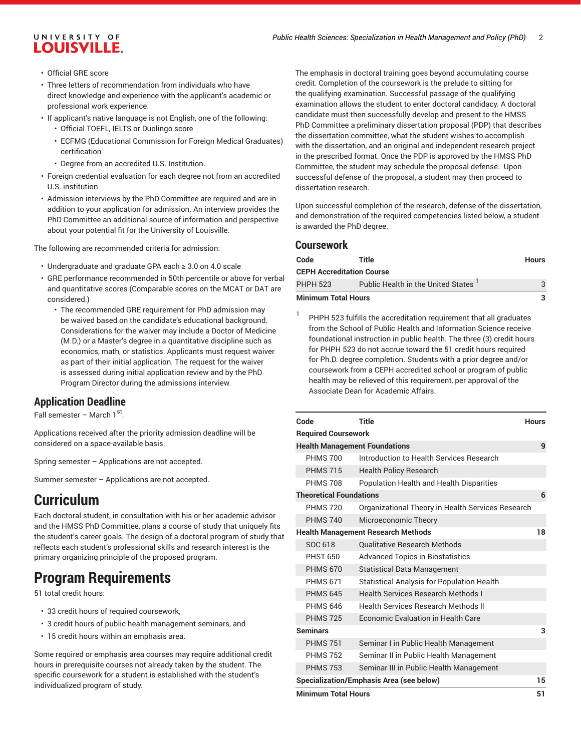- Official GRE score
- Three letters of recommendation from individuals who have direct knowledge and experience with the applicant's academic or professional work experience.
- If applicant's native language is not English, one of the following:
	- Official TOEFL, IELTS or Duolingo score
	- ECFMG (Educational Commission for Foreign Medical Graduates) certification
	- Degree from an accredited U.S. Institution.
- Foreign credential evaluation for each degree not from an accredited U.S. institution
- Admission interviews by the PhD Committee are required and are in addition to your application for admission. An interview provides the PhD Committee an additional source of information and perspective about your potential fit for the University of Louisville.

The following are recommended criteria for admission:

- Undergraduate and graduate GPA each ≥ 3.0 on 4.0 scale
- GRE performance recommended in 50th percentile or above for verbal and quantitative scores (Comparable scores on the MCAT or DAT are considered.)
	- The recommended GRE requirement for PhD admission may be waived based on the candidate's educational background. Considerations for the waiver may include a Doctor of Medicine (M.D.) or a Master's degree in a quantitative discipline such as economics, math, or statistics. Applicants must request waiver as part of their initial application. The request for the waiver is assessed during initial application review and by the PhD Program Director during the admissions interview.

## **Application Deadline**

Fall semester – March 1<sup>st</sup>.

Applications received after the priority admission deadline will be considered on a space-available basis.

Spring semester – Applications are not accepted.

Summer semester – Applications are not accepted.

# **Curriculum**

Each doctoral student, in consultation with his or her academic advisor and the HMSS PhD Committee, plans a course of study that uniquely fits the student's career goals. The design of a doctoral program of study that reflects each student's professional skills and research interest is the primary organizing principle of the proposed program.

# **Program Requirements**

51 total credit hours:

- 33 credit hours of required coursework,
- 3 credit hours of public health management seminars, and
- 15 credit hours within an emphasis area.

Some required or emphasis area courses may require additional credit hours in prerequisite courses not already taken by the student. The specific coursework for a student is established with the student's individualized program of study.

The emphasis in doctoral training goes beyond accumulating course credit. Completion of the coursework is the prelude to sitting for the qualifying examination. Successful passage of the qualifying examination allows the student to enter doctoral candidacy. A doctoral candidate must then successfully develop and present to the HMSS PhD Committee a preliminary dissertation proposal (PDP) that describes the dissertation committee, what the student wishes to accomplish with the dissertation, and an original and independent research project in the prescribed format. Once the PDP is approved by the HMSS PhD Committee, the student may schedule the proposal defense. Upon successful defense of the proposal, a student may then proceed to dissertation research.

Upon successful completion of the research, defense of the dissertation, and demonstration of the required competencies listed below, a student is awarded the PhD degree.

### **Coursework**

| <b>PHPH 523</b>                  | Public Health in the United States |              |
|----------------------------------|------------------------------------|--------------|
| <b>CEPH Accreditation Course</b> |                                    |              |
| Code                             | Title                              | <b>Hours</b> |
|                                  |                                    |              |

1 PHPH 523 fulfills the accreditation requirement that all graduates from the School of Public Health and Information Science receive foundational instruction in public health. The three (3) credit hours for PHPH 523 do not accrue toward the 51 credit hours required for Ph.D. degree completion. Students with a prior degree and/or coursework from a CEPH accredited school or program of public health may be relieved of this requirement, per approval of the Associate Dean for Academic Affairs.

| Code                                 | <b>Title</b>                                      | <b>Hours</b> |  |
|--------------------------------------|---------------------------------------------------|--------------|--|
| <b>Required Coursework</b>           |                                                   |              |  |
| <b>Health Management Foundations</b> |                                                   |              |  |
| <b>PHMS 700</b>                      | Introduction to Health Services Research          |              |  |
| <b>PHMS 715</b>                      | <b>Health Policy Research</b>                     |              |  |
| <b>PHMS 708</b>                      | <b>Population Health and Health Disparities</b>   |              |  |
| <b>Theoretical Foundations</b>       |                                                   |              |  |
| <b>PHMS 720</b>                      | Organizational Theory in Health Services Research |              |  |
| <b>PHMS 740</b>                      | Microeconomic Theory                              |              |  |
|                                      | <b>Health Management Research Methods</b>         | 18           |  |
| SOC 618                              | <b>Qualitative Research Methods</b>               |              |  |
| <b>PHST 650</b>                      | <b>Advanced Topics in Biostatistics</b>           |              |  |
| <b>PHMS 670</b>                      | <b>Statistical Data Management</b>                |              |  |
| <b>PHMS 671</b>                      | Statistical Analysis for Population Health        |              |  |
| <b>PHMS 645</b>                      | <b>Health Services Research Methods I</b>         |              |  |
| <b>PHMS 646</b>                      | <b>Health Services Research Methods II</b>        |              |  |
| <b>PHMS 725</b>                      | Economic Evaluation in Health Care                |              |  |
| <b>Seminars</b>                      |                                                   | 3            |  |
| <b>PHMS 751</b>                      | Seminar I in Public Health Management             |              |  |
| <b>PHMS 752</b>                      | Seminar II in Public Health Management            |              |  |
| <b>PHMS 753</b>                      | Seminar III in Public Health Management           |              |  |
|                                      | <b>Specialization/Emphasis Area (see below)</b>   | 15           |  |
| <b>Minimum Total Hours</b>           |                                                   | 51           |  |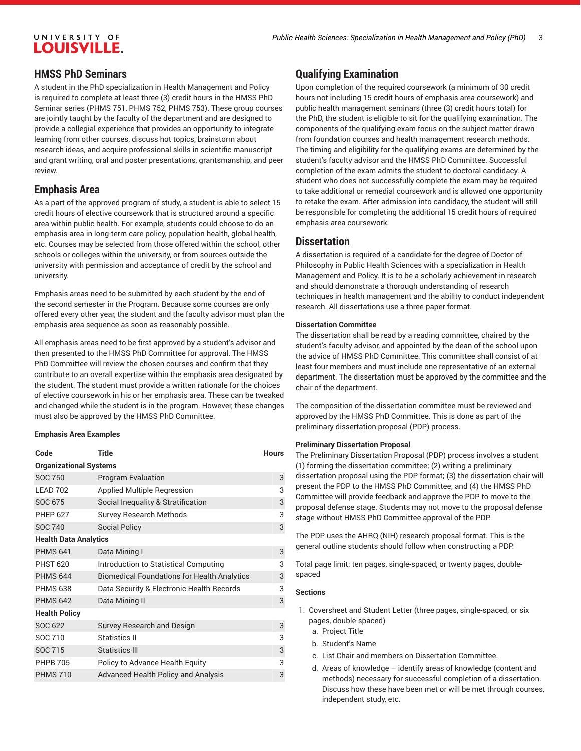### **HMSS PhD Seminars**

A student in the PhD specialization in Health Management and Policy is required to complete at least three (3) credit hours in the HMSS PhD Seminar series (PHMS 751, PHMS 752, PHMS 753). These group courses are jointly taught by the faculty of the department and are designed to provide a collegial experience that provides an opportunity to integrate learning from other courses, discuss hot topics, brainstorm about research ideas, and acquire professional skills in scientific manuscript and grant writing, oral and poster presentations, grantsmanship, and peer review.

#### **Emphasis Area**

As a part of the approved program of study, a student is able to select 15 credit hours of elective coursework that is structured around a specific area within public health. For example, students could choose to do an emphasis area in long-term care policy, population health, global health, etc. Courses may be selected from those offered within the school, other schools or colleges within the university, or from sources outside the university with permission and acceptance of credit by the school and university.

Emphasis areas need to be submitted by each student by the end of the second semester in the Program. Because some courses are only offered every other year, the student and the faculty advisor must plan the emphasis area sequence as soon as reasonably possible.

All emphasis areas need to be first approved by a student's advisor and then presented to the HMSS PhD Committee for approval. The HMSS PhD Committee will review the chosen courses and confirm that they contribute to an overall expertise within the emphasis area designated by the student. The student must provide a written rationale for the choices of elective coursework in his or her emphasis area. These can be tweaked and changed while the student is in the program. However, these changes must also be approved by the HMSS PhD Committee.

#### **Emphasis Area Examples**

| Code                          | Title                                              | <b>Hours</b> |  |  |  |
|-------------------------------|----------------------------------------------------|--------------|--|--|--|
| <b>Organizational Systems</b> |                                                    |              |  |  |  |
| <b>SOC 750</b>                | <b>Program Evaluation</b>                          | 3            |  |  |  |
| <b>I FAD 702</b>              | Applied Multiple Regression                        | 3            |  |  |  |
| SOC 675                       | Social Inequality & Stratification                 | 3            |  |  |  |
| <b>PHEP 627</b>               | <b>Survey Research Methods</b>                     | 3            |  |  |  |
| <b>SOC 740</b>                | <b>Social Policy</b>                               | 3            |  |  |  |
| <b>Health Data Analytics</b>  |                                                    |              |  |  |  |
| <b>PHMS 641</b>               | Data Mining I                                      | 3            |  |  |  |
| <b>PHST 620</b>               | Introduction to Statistical Computing              | 3            |  |  |  |
| <b>PHMS 644</b>               | <b>Biomedical Foundations for Health Analytics</b> | 3            |  |  |  |
| <b>PHMS 638</b>               | Data Security & Electronic Health Records          | 3            |  |  |  |
| <b>PHMS 642</b>               | Data Mining II                                     | 3            |  |  |  |
| <b>Health Policy</b>          |                                                    |              |  |  |  |
| SOC 622                       | Survey Research and Design                         | 3            |  |  |  |
| SOC 710                       | Statistics II                                      | 3            |  |  |  |
| SOC 715                       | <b>Statistics III</b>                              | 3            |  |  |  |
| <b>PHPB 705</b>               | Policy to Advance Health Equity                    | 3            |  |  |  |
| <b>PHMS 710</b>               | <b>Advanced Health Policy and Analysis</b>         | 3            |  |  |  |

## **Qualifying Examination**

Upon completion of the required coursework (a minimum of 30 credit hours not including 15 credit hours of emphasis area coursework) and public health management seminars (three (3) credit hours total) for the PhD, the student is eligible to sit for the qualifying examination. The components of the qualifying exam focus on the subject matter drawn from foundation courses and health management research methods. The timing and eligibility for the qualifying exams are determined by the student's faculty advisor and the HMSS PhD Committee. Successful completion of the exam admits the student to doctoral candidacy. A student who does not successfully complete the exam may be required to take additional or remedial coursework and is allowed one opportunity to retake the exam. After admission into candidacy, the student will still be responsible for completing the additional 15 credit hours of required emphasis area coursework.

#### **Dissertation**

A dissertation is required of a candidate for the degree of Doctor of Philosophy in Public Health Sciences with a specialization in Health Management and Policy. It is to be a scholarly achievement in research and should demonstrate a thorough understanding of research techniques in health management and the ability to conduct independent research. All dissertations use a three-paper format.

#### **Dissertation Committee**

The dissertation shall be read by a reading committee, chaired by the student's faculty advisor, and appointed by the dean of the school upon the advice of HMSS PhD Committee. This committee shall consist of at least four members and must include one representative of an external department. The dissertation must be approved by the committee and the chair of the department.

The composition of the dissertation committee must be reviewed and approved by the HMSS PhD Committee. This is done as part of the preliminary dissertation proposal (PDP) process.

#### **Preliminary Dissertation Proposal**

The Preliminary Dissertation Proposal (PDP) process involves a student (1) forming the dissertation committee; (2) writing a preliminary dissertation proposal using the PDP format; (3) the dissertation chair will present the PDP to the HMSS PhD Committee; and (4) the HMSS PhD Committee will provide feedback and approve the PDP to move to the proposal defense stage. Students may not move to the proposal defense stage without HMSS PhD Committee approval of the PDP.

The PDP uses the AHRQ (NIH) research proposal format. This is the general outline students should follow when constructing a PDP:

Total page limit: ten pages, single-spaced, or twenty pages, doublespaced

#### **Sections**

- 1. Coversheet and Student Letter (three pages, single-spaced, or six pages, double-spaced)
	- a. Project Title
	- b. Student's Name
	- c. List Chair and members on Dissertation Committee.
	- d. Areas of knowledge identify areas of knowledge (content and methods) necessary for successful completion of a dissertation. Discuss how these have been met or will be met through courses, independent study, etc.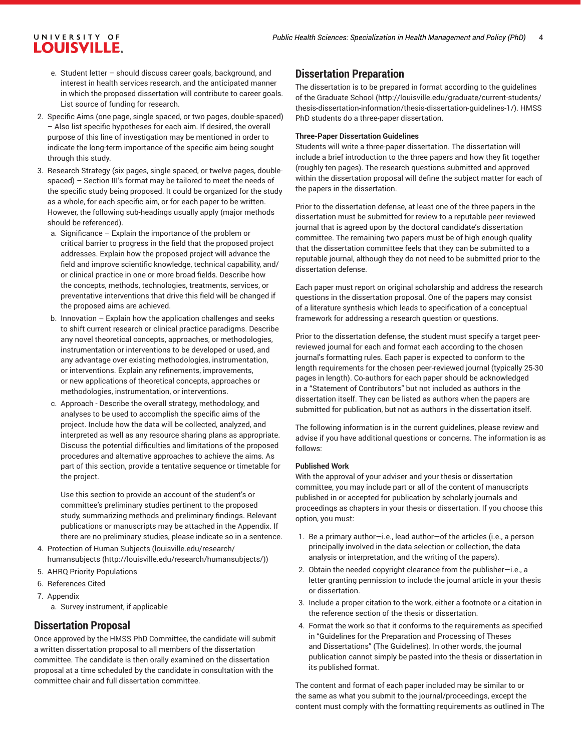- e. Student letter should discuss career goals, background, and interest in health services research, and the anticipated manner in which the proposed dissertation will contribute to career goals. List source of funding for research.
- 2. Specific Aims (one page, single spaced, or two pages, double-spaced) – Also list specific hypotheses for each aim. If desired, the overall purpose of this line of investigation may be mentioned in order to indicate the long-term importance of the specific aim being sought through this study.
- 3. Research Strategy (six pages, single spaced, or twelve pages, doublespaced) – Section III's format may be tailored to meet the needs of the specific study being proposed. It could be organized for the study as a whole, for each specific aim, or for each paper to be written. However, the following sub-headings usually apply (major methods should be referenced).
	- a. Significance Explain the importance of the problem or critical barrier to progress in the field that the proposed project addresses. Explain how the proposed project will advance the field and improve scientific knowledge, technical capability, and/ or clinical practice in one or more broad fields. Describe how the concepts, methods, technologies, treatments, services, or preventative interventions that drive this field will be changed if the proposed aims are achieved.
	- b. Innovation Explain how the application challenges and seeks to shift current research or clinical practice paradigms. Describe any novel theoretical concepts, approaches, or methodologies, instrumentation or interventions to be developed or used, and any advantage over existing methodologies, instrumentation, or interventions. Explain any refinements, improvements, or new applications of theoretical concepts, approaches or methodologies, instrumentation, or interventions.
	- c. Approach Describe the overall strategy, methodology, and analyses to be used to accomplish the specific aims of the project. Include how the data will be collected, analyzed, and interpreted as well as any resource sharing plans as appropriate. Discuss the potential difficulties and limitations of the proposed procedures and alternative approaches to achieve the aims. As part of this section, provide a tentative sequence or timetable for the project.

Use this section to provide an account of the student's or committee's preliminary studies pertinent to the proposed study, summarizing methods and preliminary findings. Relevant publications or manuscripts may be attached in the Appendix. If there are no preliminary studies, please indicate so in a sentence.

- 4. Protection of Human Subjects [\(louisville.edu/research/](http://louisville.edu/research/humansubjects/) [humansubjects \(http://louisville.edu/research/humansubjects/](http://louisville.edu/research/humansubjects/)))
- 5. AHRQ Priority Populations
- 6. References Cited
- 7. Appendix

a. Survey instrument, if applicable

#### **Dissertation Proposal**

Once approved by the HMSS PhD Committee, the candidate will submit a written dissertation proposal to all members of the dissertation committee. The candidate is then orally examined on the dissertation proposal at a time scheduled by the candidate in consultation with the committee chair and full dissertation committee.

#### **Dissertation Preparation**

The dissertation is to be prepared in format according to the [guidelines](http://louisville.edu/graduate/current-students/thesis-dissertation-information/thesis-dissertation-guidelines-1/) [of the Graduate School](http://louisville.edu/graduate/current-students/thesis-dissertation-information/thesis-dissertation-guidelines-1/) ([http://louisville.edu/graduate/current-students/](http://louisville.edu/graduate/current-students/thesis-dissertation-information/thesis-dissertation-guidelines-1/) [thesis-dissertation-information/thesis-dissertation-guidelines-1/\)](http://louisville.edu/graduate/current-students/thesis-dissertation-information/thesis-dissertation-guidelines-1/). HMSS PhD students do a three-paper dissertation.

#### **Three-Paper Dissertation Guidelines**

Students will write a three-paper dissertation. The dissertation will include a brief introduction to the three papers and how they fit together (roughly ten pages). The research questions submitted and approved within the dissertation proposal will define the subject matter for each of the papers in the dissertation.

Prior to the dissertation defense, at least one of the three papers in the dissertation must be submitted for review to a reputable peer-reviewed journal that is agreed upon by the doctoral candidate's dissertation committee. The remaining two papers must be of high enough quality that the dissertation committee feels that they can be submitted to a reputable journal, although they do not need to be submitted prior to the dissertation defense.

Each paper must report on original scholarship and address the research questions in the dissertation proposal. One of the papers may consist of a literature synthesis which leads to specification of a conceptual framework for addressing a research question or questions.

Prior to the dissertation defense, the student must specify a target peerreviewed journal for each and format each according to the chosen journal's formatting rules. Each paper is expected to conform to the length requirements for the chosen peer-reviewed journal (typically 25-30 pages in length). Co-authors for each paper should be acknowledged in a "Statement of Contributors" but not included as authors in the dissertation itself. They can be listed as authors when the papers are submitted for publication, but not as authors in the dissertation itself.

The following information is in the current guidelines, please review and advise if you have additional questions or concerns. The information is as follows:

#### **Published Work**

With the approval of your adviser and your thesis or dissertation committee, you may include part or all of the content of manuscripts published in or accepted for publication by scholarly journals and proceedings as chapters in your thesis or dissertation. If you choose this option, you must:

- 1. Be a primary author—i.e., lead author—of the articles (i.e., a person principally involved in the data selection or collection, the data analysis or interpretation, and the writing of the papers).
- 2. Obtain the needed copyright clearance from the publisher—i.e., a letter granting permission to include the journal article in your thesis or dissertation.
- 3. Include a proper citation to the work, either a footnote or a citation in the reference section of the thesis or dissertation.
- 4. Format the work so that it conforms to the requirements as specified in "Guidelines for the Preparation and Processing of Theses and Dissertations" (The Guidelines). In other words, the journal publication cannot simply be pasted into the thesis or dissertation in its published format.

The content and format of each paper included may be similar to or the same as what you submit to the journal/proceedings, except the content must comply with the formatting requirements as outlined in The